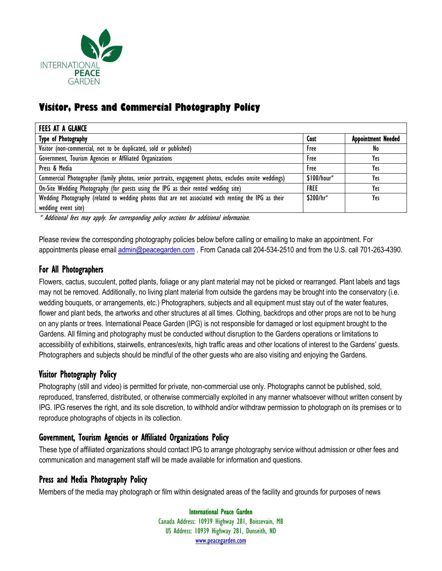

# **Visitor, Press and Commercial Photography Policy**

| <b>FEES AT A GLANCE</b>                                                                                |              |                           |
|--------------------------------------------------------------------------------------------------------|--------------|---------------------------|
| Type of Photography                                                                                    | Cost         | <b>Appointment Needed</b> |
| Visitor (non-commercial, not to be duplicated, sold or published)                                      | Free         | No                        |
| Government, Tourism Agencies or Affiliated Organizations                                               | Free         | Yes                       |
| Press & Media                                                                                          | Free         | Yes                       |
| Commercial Photographer (family photos, senior portraits, engagement photos, excludes onsite weddings) | $$100/hour*$ | Yes                       |
| On-Site Wedding Photography (for guests using the IPG as their rented wedding site)                    | <b>FREE</b>  | Yes                       |
| Wedding Photography (related to wedding photos that are not associated with renting the IPG as their   | \$200/hr*    | Yes                       |
| wedding event site)                                                                                    |              |                           |

\* Additional fees may apply. See corresponding policy sections for additional information.

Please review the corresponding photography policies below before calling or emailing to make an appointment. For appointments please email [admin@peacegarden.com](mailto:admin@peacegarden.com). From Canada call 204-534-2510 and from the U.S. call 701-263-4390.

### For All Photographers

Flowers, cactus, succulent, potted plants, foliage or any plant material may not be picked or rearranged. Plant labels and tags may not be removed. Additionally, no living plant material from outside the gardens may be brought into the conservatory (i.e. wedding bouquets, or arrangements, etc.) Photographers, subjects and all equipment must stay out of the water features, flower and plant beds, the artworks and other structures at all times. Clothing, backdrops and other props are not to be hung on any plants or trees. International Peace Garden (IPG) is not responsible for damaged or lost equipment brought to the Gardens. All filming and photography must be conducted without disruption to the Gardens operations or limitations to accessibility of exhibitions, stairwells, entrances/exits, high traffic areas and other locations of interest to the Gardens' guests. Photographers and subjects should be mindful of the other guests who are also visiting and enjoying the Gardens.

### Visitor Photography Policy

Photography (still and video) is permitted for private, non-commercial use only. Photographs cannot be published, sold, reproduced, transferred, distributed, or otherwise commercially exploited in any manner whatsoever without written consent by IPG. IPG reserves the right, and its sole discretion, to withhold and/or withdraw permission to photograph on its premises or to reproduce photographs of objects in its collection.

# Government, Tourism Agencies or Affiliated Organizations Policy

These type of affiliated organizations should contact IPG to arrange photography service without admission or other fees and communication and management staff will be made available for information and questions.

### Press and Media Photography Policy

Members of the media may photograph or film within designated areas of the facility and grounds for purposes of news

International Peace Garden Canada Address: 10939 Highway 281, Boissevain, MB US Address: 10939 Highway 281, Dunseith, ND [www.peacegarden.com](http://www.peacegarden.com/)